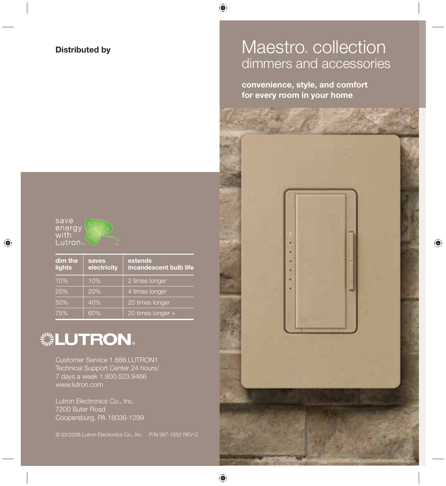#### **Distributed by**

## Maestro collection dimmers and accessories

**convenience, style, and comfort for every room in your home**





| dim the<br>lights | saves<br>electricity | extends<br>incandescent bulb life |
|-------------------|----------------------|-----------------------------------|
| 10%               | 10%                  | 2 times longer                    |
| 25%               | 20%                  | 4 times longer                    |
| 50%               | 40%                  | 20 times longer                   |
| 75%               | 60%                  | 20 times longer +                 |

## **. LUTRON.**

Customer Service 1.888.LUTRON1 Technical Support Center 24 hours/ 7 days a week 1.800.523.9466 www.lutron.com

Lutron Electronics Co., Inc. 7200 Suter Road Coopersburg, PA 18036-1299

© 03/2008 Lutron Electronics Co., Inc. P/N 367-1252 REV C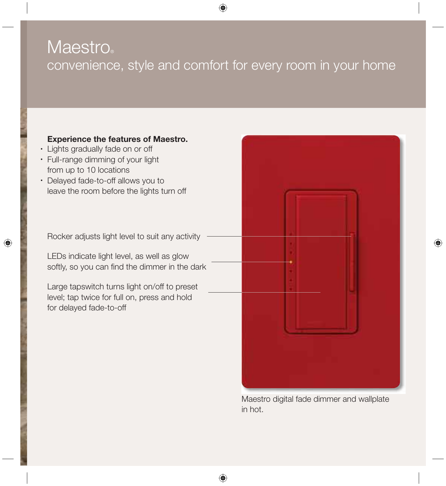## **Maestro**® convenience, style and comfort for every room in your home

### **Experience the features of Maestro.**

- Lights gradually fade on or off
- Full-range dimming of your light from up to 10 locations
- Delayed fade-to-off allows you to leave the room before the lights turn off

Rocker adjusts light level to suit any activity

LEDs indicate light level, as well as glow softly, so you can find the dimmer in the dark

Large tapswitch turns light on/off to preset level; tap twice for full on, press and hold for delayed fade-to-off



Maestro digital fade dimmer and wallplate in hot.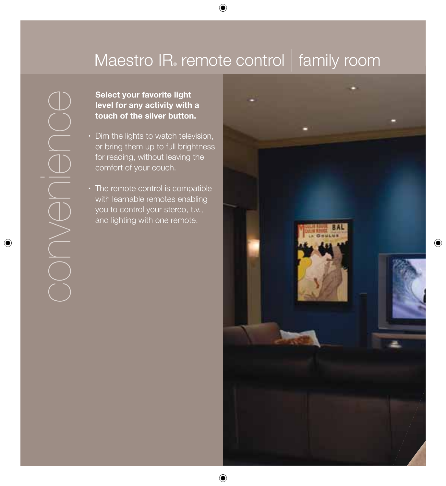## Maestro IR<sub>®</sub> remote control | family room

### **Select your favorite light level for any activity with a touch of the silver button.**

- Dim the lights to watch television, or bring them up to full brightness for reading, without leaving the comfort of your couch.
- The remote control is compatible with learnable remotes enabling you to control your stereo, t.v., and lighting with one remote.

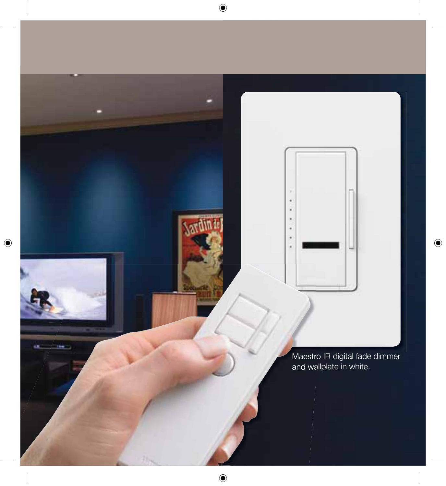Maestro IR digital fade dimmer and wallplate in white.

×

٠ ×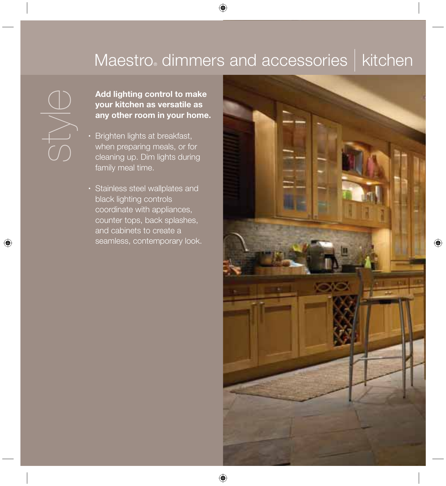## Maestro dimmers and accessories | kitchen

**Add lighting control to make<br>
your kitchen as versatile as<br>
any other room in your home<br>
Brighten lights at breakfast,<br>
when preparing meals, or for<br>
COLORED PROPERTIES AUTHOL your kitchen as versatile as any other room in your home.**

- Brighten lights at breakfast, when preparing meals, or for cleaning up. Dim lights during family meal time.
- Stainless steel wallplates and black lighting controls coordinate with appliances, counter tops, back splashes, and cabinets to create a seamless, contemporary look.

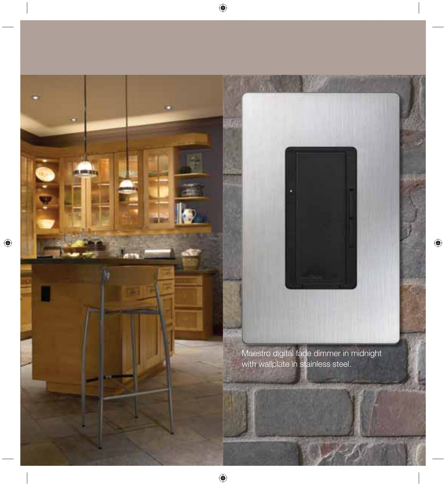Maestro digital fade dimmer in midnight with wallplate in stainless steel.

ş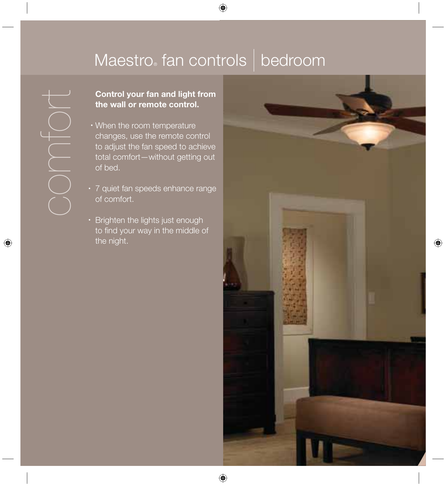## Maestro fan controls bedroom

# **the wall or remote control.**

- **Control your fan and light from<br>the wall or remote control.**<br>
When the room temperature<br>
changes, use the remote control<br>
to adjust the fan speed to achieve<br>
total comfort—without getting out<br>
of bed.<br>
7 quiet fan speeds • When the room temperature changes, use the remote control to adjust the fan speed to achieve total comfort—without getting out of bed.
	- 7 quiet fan speeds enhance range of comfort.
	- Brighten the lights just enough to find your way in the middle of the night.

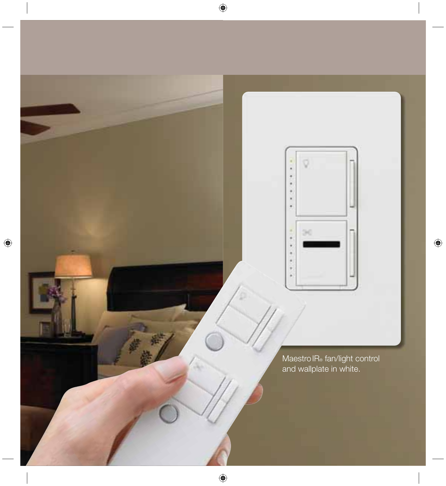

MaestroIR® fan/light control and wallplate in white.

õ,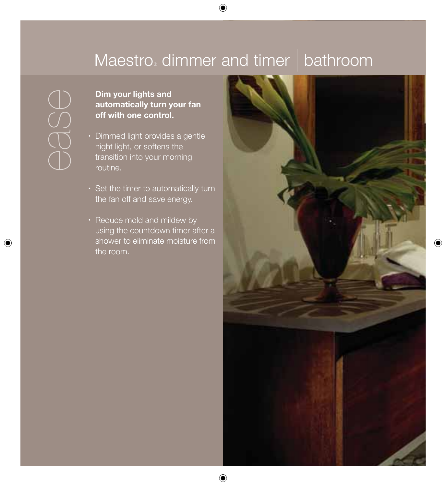## Maestro dimmer and timer | bathroom

## **automatically turn your fan off with one control.**

- **Dim your lights and<br>
automatically turn y<br>
off with one control.**<br> **CON**<br> **CON**<br> **CON**<br> **CON**<br> **CON**<br> **CON**<br> **CONDER**<br> **CONDER**<br> **CONDER**<br> **CONDER**<br> **CONDER**<br> **CONDER**<br> **CONDER**<br> **CONDER**<br> **CONDER**<br> **CONDER**<br> **CONDER**<br> **C** • Dimmed light provides a gentle night light, or softens the transition into your morning routine.
	- Set the timer to automatically turn the fan off and save energy.
	- Reduce mold and mildew by using the countdown timer after a shower to eliminate moisture from the room.

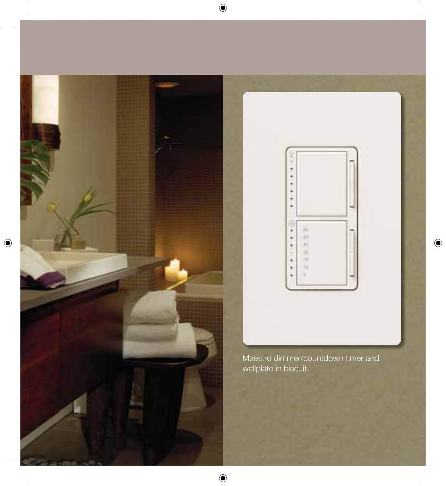



Maestro dimmer/countdown timer and wallplate in biscuit.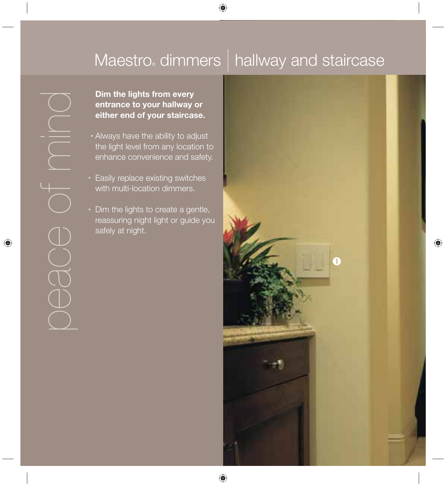## Maestro dimmers | hallway and staircase

**Dim the lights from every entrance to your hallway or either end of your staircase.**

- Always have the ability to adjust the light level from any location to enhance convenience and safety.
- Easily replace existing switches with multi-location dimmers.
- Dim the lights to create a gentle, reassuring night light or guide you safely at night.

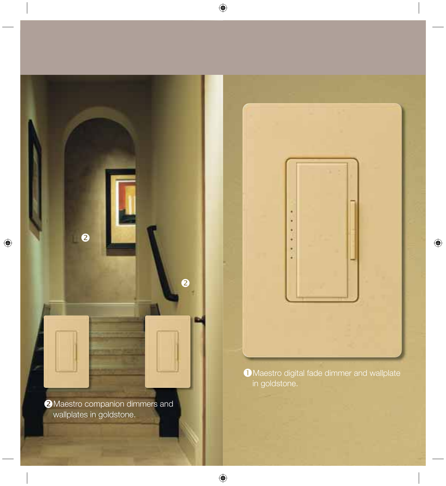**2** Maestro companion dimmers and wallplates in goldstone.

 $\ddot{\mathbf{e}}$ 

 $\bullet$ 



 $\bullet$  Maestro digital fade dimmer and wallplate in goldstone.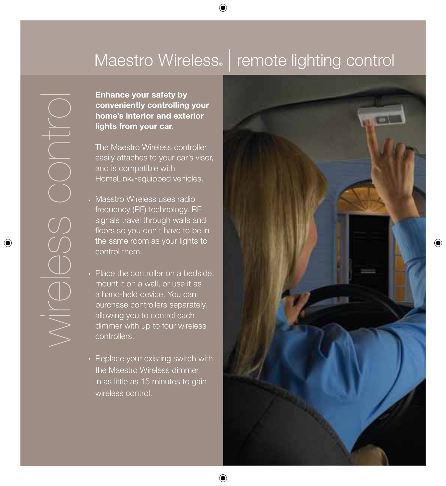## Maestro Wireless. | remote lighting control

**conveniently controlling your home's interior and exterior lights from your car.**

 The Maestro Wireless controller easily attaches to your car's visor, and is compatible with HomeLink®-equipped vehicles.

- Maestro Wireless uses radio frequency (RF) technology. RF signals travel through walls and floors so you don't have to be in the same room as your lights to control them.
- Place the controller on a bedside, mount it on a wall, or use it as a hand-held device. You can purchase controllers separately, allowing you to control each dimmer with up to four wireless controllers.
- Replace your existing switch with the Maestro Wireless dimmer in as little as 15 minutes to gain wireless control.

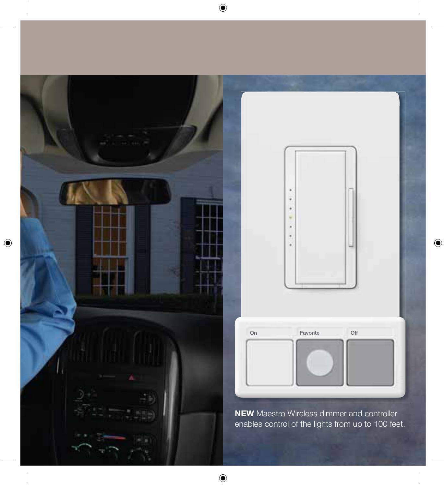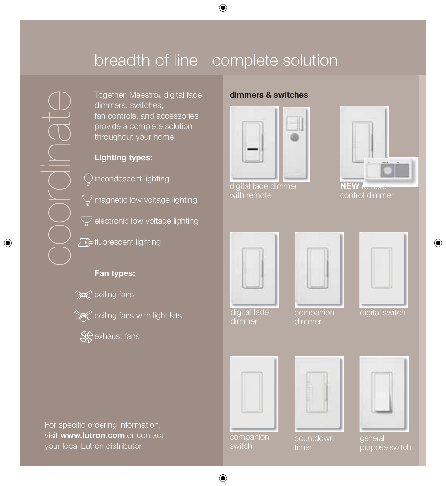# breadth of line | complete solution

Together, Maestro® digital fade dimmers, switches, fan controls, and accessories provide a complete solution throughout your home.

### **Lighting types:**

incandescent lighting

 $\overline{\cancel{G}}$  magnetic low voltage lighting

 $\overline{\mathbb{S}}$  electronic low voltage lighting

 $\sqrt{\mathcal{F}}$  fluorescent lighting

### **Fan types:**





**S**exhaust fans

### **dimmers & switches**



digital fade dimmer with remote



control dimmer



digital fade dimmer\*



digital switch

| companion |
|-----------|
| dimmer    |
|           |

|  | and the state of the state of the state of the state of the state of the state of |  |
|--|-----------------------------------------------------------------------------------|--|
|  |                                                                                   |  |



general purpose switch

For specific ordering information, visit **www.lutron.com** or contact your local Lutron distributor.

companion switch

**countdown** timer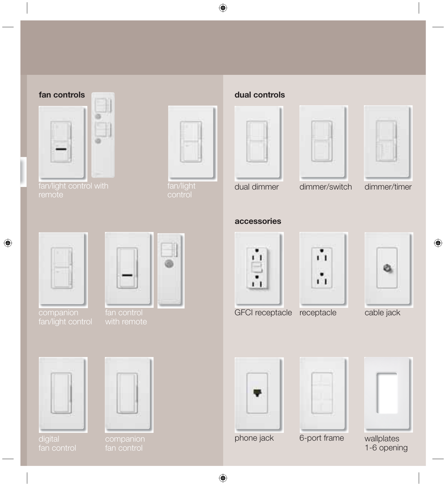### **fan controls**



fan/light control with



fan/light

### **dual controls**







dual dimmer dimmer/switch dimmer/timer

**accessories**





 $\blacksquare$ Ĥ

å å

cable jack





GFCI receptacle receptacle

| ٠   |  |
|-----|--|
|     |  |
|     |  |
|     |  |
| --- |  |

wallplates 1-6 opening

phone jack

6-port frame

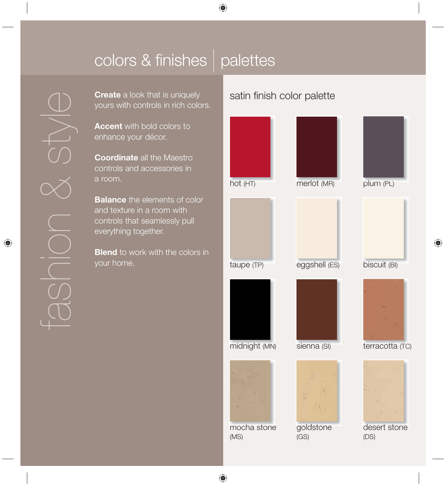## colors & finishes  $|$  palettes

**Create** a look that is uniquely yours with controls in rich colors.

**Accent** with bold colors to enhance your décor.

**Coordinate** all the Maestro controls and accessories in a room.

**Balance** the elements of color and texture in a room with controls that seamlessly pull everything together.

**Blend** to work with the colors in your home.

### satin finish color palette

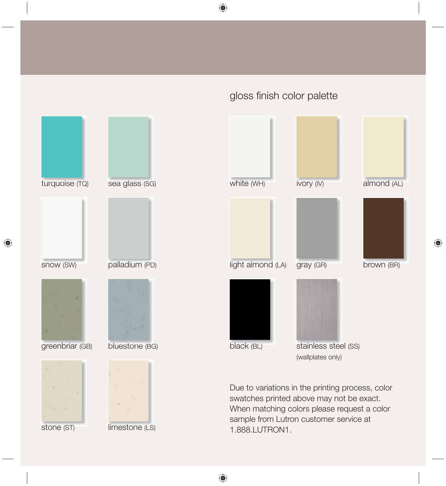turquoise (TQ) Due to variations in the printing process, color swatches printed above may not be exact. When matching colors please request a color sample from Lutron customer service at stainless steel (SS) (wallplates only) greenbriar (GB) sea glass (SG) bluestone (BG) snow (SW) palladium (PD) white (WH) light almond (LA) black (BL) ivory (IV) gray (GR) almond (AL) brown (BR)

1.888.LUTRON1.

gloss finish color palette

stone (ST) limestone (LS)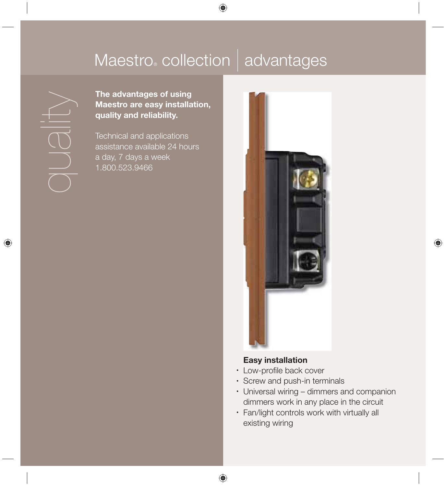## Maestro® collection | advantages

**The advantages of using Maestro are easy installation, quality and reliability.**

 Technical and applications assistance available 24 hours a day, 7 days a week 1.800.523.9466



#### **Easy installation**

- Low-profile back cover
- Screw and push-in terminals
- Universal wiring dimmers and companion dimmers work in any place in the circuit
- Fan/light controls work with virtually all existing wiring